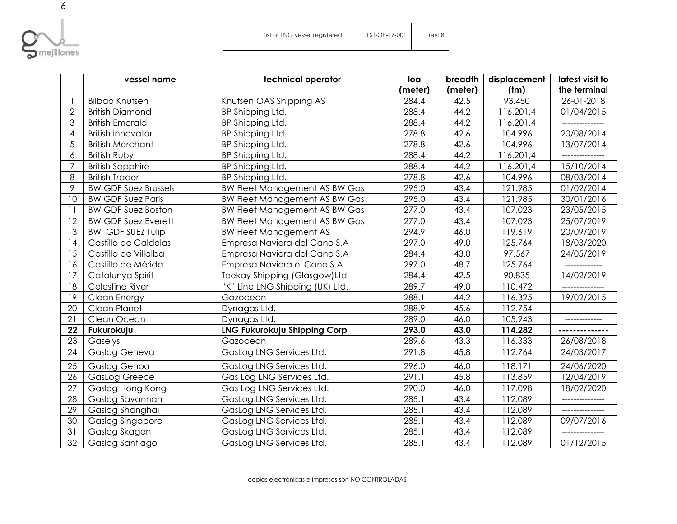

|                          | vessel name                 | technical operator                   | loa     | breadth | displacement | latest visit to |
|--------------------------|-----------------------------|--------------------------------------|---------|---------|--------------|-----------------|
|                          |                             |                                      | (meter) | (meter) | (tm)         | the terminal    |
|                          | <b>Bilbao Knutsen</b>       | Knutsen OAS Shipping AS              | 284.4   | 42.5    | 93.450       | 26-01-2018      |
| $\overline{2}$           | <b>British Diamond</b>      | BP Shipping Ltd.                     | 288.4   | 44.2    | 116.201,4    | 01/04/2015      |
| 3                        | <b>British Emerald</b>      | BP Shipping Ltd.                     | 288.4   | 44.2    | 116.201,4    |                 |
| $\overline{\mathcal{A}}$ | <b>British Innovator</b>    | BP Shipping Ltd.                     | 278.8   | 42.6    | 104.996      | 20/08/2014      |
| 5                        | <b>British Merchant</b>     | BP Shipping Ltd.                     | 278.8   | 42.6    | 104.996      | 13/07/2014      |
| 6                        | <b>British Ruby</b>         | BP Shipping Ltd.                     | 288.4   | 44.2    | 116.201,4    |                 |
| $\overline{7}$           | <b>British Sapphire</b>     | BP Shipping Ltd.                     | 288.4   | 44.2    | 116.201,4    | 15/10/2014      |
| 8                        | <b>British Trader</b>       | BP Shipping Ltd.                     | 278.8   | 42.6    | 104.996      | 08/03/2014      |
| 9                        | <b>BW GDF Suez Brussels</b> | <b>BW Fleet Management AS BW Gas</b> | 295.0   | 43.4    | 121.985      | 01/02/2014      |
| 10                       | <b>BW GDF Suez Paris</b>    | <b>BW Fleet Management AS BW Gas</b> | 295.0   | 43.4    | 121.985      | 30/01/2016      |
| 11                       | <b>BW GDF Suez Boston</b>   | <b>BW Fleet Management AS BW Gas</b> | 277.0   | 43.4    | 107.023      | 23/05/2015      |
| 12                       | <b>BW GDF Suez Everett</b>  | <b>BW Fleet Management AS BW Gas</b> | 277.0   | 43.4    | 107.023      | 25/07/2019      |
| 13                       | <b>BW GDF SUEZ Tulip</b>    | <b>BW Fleet Management AS</b>        | 294.9   | 46.0    | 119.619      | 20/09/2019      |
| 14                       | Castillo de Caldelas        | Empresa Naviera del Cano S.A         | 297.0   | 49.0    | 125.764      | 18/03/2020      |
| 15                       | Castillo de Villalba        | Empresa Naviera del Cano S.A         | 284.4   | 43.0    | 97.567       | 24/05/2019      |
| 16                       | Castillo de Mérida          | Empresa Naviera el Cano S.A          | 297.0   | 48.7    | 125.764      | -------------   |
| 17                       | Catalunya Spirit            | Teekay Shipping (Glasgow)Ltd         | 284.4   | 42.5    | 90.835       | 14/02/2019      |
| 18                       | Celestine River             | "K" Line LNG Shipping (UK) Ltd.      | 289.7   | 49.0    | 110.472      |                 |
| 19                       | Clean Energy                | Gazocean                             | 288.1   | 44.2    | 116.325      | 19/02/2015      |
| 20                       | Clean Planet                | Dynagas Ltd.                         | 288.9   | 45.6    | 112.754      |                 |
| 21                       | Clean Ocean                 | Dynagas Ltd.                         | 289.0   | 46.0    | 105.943      | ____________    |
| 22                       | Fukurokuju                  | <b>LNG Fukurokuju Shipping Corp</b>  | 293.0   | 43.0    | 114.282      |                 |
| 23                       | Gaselys                     | Gazocean                             | 289.6   | 43.3    | 116.333      | 26/08/2018      |
| 24                       | Gaslog Geneva               | GasLog LNG Services Ltd.             | 291.8   | 45.8    | 112.764      | 24/03/2017      |
| 25                       | Gaslog Genoa                | GasLog LNG Services Ltd.             | 296.0   | 46.0    | 118.171      | 24/06/2020      |
| 26                       | <b>GasLog Greece</b>        | Gas Log LNG Services Ltd.            | 291.1   | 45.8    | 113.859      | 12/04/2019      |
| 27                       | Gaslog Hong Kong            | Gas Log LNG Services Ltd.            | 290.0   | 46.0    | 117.098      | 18/02/2020      |
| 28                       | Gaslog Savannah             | GasLog LNG Services Ltd.             | 285.1   | 43.4    | 112.089      |                 |
| 29                       | Gaslog Shanghai             | GasLog LNG Services Ltd.             | 285.1   | 43.4    | 112.089      |                 |
| 30                       | Gaslog Singapore            | GasLog LNG Services Ltd.             | 285.1   | 43.4    | 112.089      | 09/07/2016      |
| 31                       | Gaslog Skagen               | GasLog LNG Services Ltd.             | 285.1   | 43.4    | 112.089      |                 |
| 32                       | Gaslog Santiago             | GasLog LNG Services Ltd.             | 285.1   | 43.4    | 112.089      | 01/12/2015      |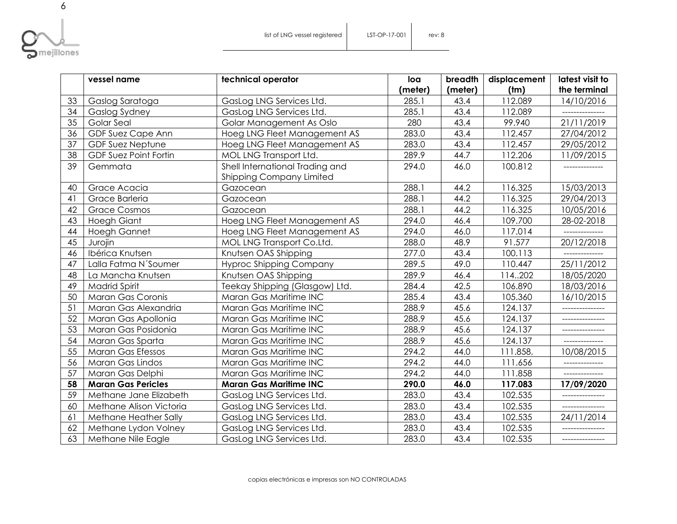

|                 | vessel name                  | technical operator                                                 | loa     | breadth | displacement | latest visit to |
|-----------------|------------------------------|--------------------------------------------------------------------|---------|---------|--------------|-----------------|
|                 |                              |                                                                    | (meter) | (meter) | (tm)         | the terminal    |
| 33              | Gaslog Saratoga              | GasLog LNG Services Ltd.                                           | 285.1   | 43.4    | 112.089      | 14/10/2016      |
| 34              | Gaslog Sydney                | GasLog LNG Services Ltd.                                           | 285.1   | 43.4    | 112.089      |                 |
| 35              | Golar Seal                   | Golar Management As Oslo                                           | 280     | 43.4    | 99.940       | 21/11/2019      |
| 36              | GDF Suez Cape Ann            | Hoeg LNG Fleet Management AS                                       | 283.0   | 43.4    | 112.457      | 27/04/2012      |
| 37              | <b>GDF Suez Neptune</b>      | Hoeg LNG Fleet Management AS                                       | 283.0   | 43.4    | 112.457      | 29/05/2012      |
| $\overline{38}$ | <b>GDF Suez Point Fortin</b> | MOL LNG Transport Ltd.                                             | 289.9   | 44.7    | 112.206      | 11/09/2015      |
| 39              | Gemmata                      | Shell International Trading and<br><b>Shipping Company Limited</b> | 294.0   | 46.0    | 100.812      |                 |
| 40              | Grace Acacia                 | Gazocean                                                           | 288.1   | 44.2    | 116.325      | 15/03/2013      |
| 41              | Grace Barleria               | Gazocean                                                           | 288.1   | 44.2    | 116.325      | 29/04/2013      |
| 42              | <b>Grace Cosmos</b>          | Gazocean                                                           | 288.1   | 44.2    | 116.325      | 10/05/2016      |
| 43              | <b>Hoegh Giant</b>           | Hoeg LNG Fleet Management AS                                       | 294.0   | 46.4    | 109.700      | 28-02-2018      |
| 44              | <b>Hoegh Gannet</b>          | Hoeg LNG Fleet Management AS                                       | 294.0   | 46.0    | 117.014      | --------------  |
| 45              | Jurojin                      | MOL LNG Transport Co.Ltd.                                          | 288.0   | 48.9    | 91.577       | 20/12/2018      |
| 46              | Ibérica Knutsen              | Knutsen OAS Shipping                                               | 277.0   | 43.4    | 100.113      |                 |
| 47              | Lalla Fatma N'Soumer         | <b>Hyproc Shipping Company</b>                                     | 289.5   | 49.0    | 110.447      | 25/11/2012      |
| 48              | La Mancha Knutsen            | Knutsen OAS Shipping                                               | 289.9   | 46.4    | 114.202      | 18/05/2020      |
| 49              | <b>Madrid Spirit</b>         | Teekay Shipping (Glasgow) Ltd.                                     | 284.4   | 42.5    | 106.890      | 18/03/2016      |
| 50              | Maran Gas Coronis            | Maran Gas Maritime INC                                             | 285.4   | 43.4    | 105.360      | 16/10/2015      |
| 51              | Maran Gas Alexandria         | Maran Gas Maritime INC                                             | 288.9   | 45.6    | 124.137      | _______________ |
| 52              | Maran Gas Apollonia          | Maran Gas Maritime INC                                             | 288.9   | 45.6    | 124.137      |                 |
| 53              | Maran Gas Posidonia          | Maran Gas Maritime INC                                             | 288.9   | 45.6    | 124.137      | ------------    |
| 54              | Maran Gas Sparta             | Maran Gas Maritime INC                                             | 288.9   | 45.6    | 124.137      | --------------  |
| 55              | Maran Gas Efessos            | Maran Gas Maritime INC                                             | 294.2   | 44.0    | 111.858,     | 10/08/2015      |
| 56              | Maran Gas Lindos             | Maran Gas Maritime INC                                             | 294.2   | 44.0    | 111.656      |                 |
| 57              | Maran Gas Delphi             | Maran Gas Maritime INC                                             | 294.2   | 44.0    | 111.858      |                 |
| 58              | <b>Maran Gas Pericles</b>    | <b>Maran Gas Maritime INC</b>                                      | 290.0   | 46.0    | 117.083      | 17/09/2020      |
| 59              | Methane Jane Elizabeth       | GasLog LNG Services Ltd.                                           | 283.0   | 43.4    | 102.535      |                 |
| 60              | Methane Alison Victoria      | GasLog LNG Services Ltd.                                           | 283.0   | 43.4    | 102.535      | --------------- |
| 61              | Methane Heather Sally        | GasLog LNG Services Ltd.                                           | 283.0   | 43.4    | 102.535      | 24/11/2014      |
| 62              | Methane Lydon Volney         | GasLog LNG Services Ltd.                                           | 283.0   | 43.4    | 102.535      |                 |
| 63              | Methane Nile Eagle           | GasLog LNG Services Ltd.                                           | 283.0   | 43.4    | 102.535      | _______________ |